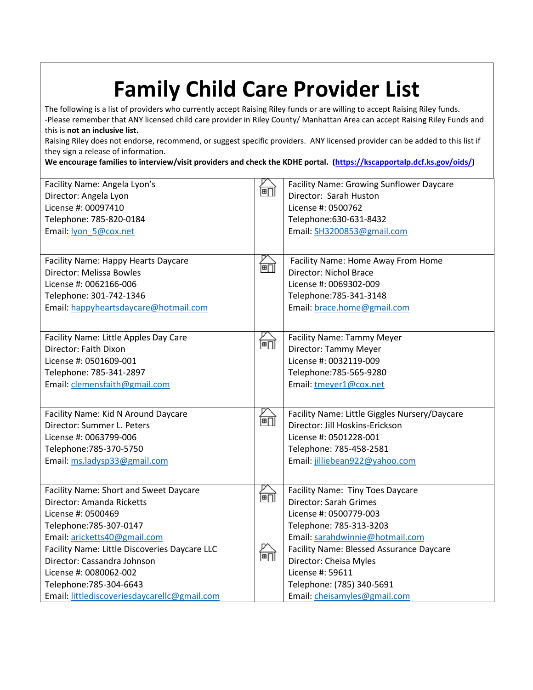## **Family Child Care Provider List**

The following is a list of providers who currently accept Raising Riley funds or are willing to accept Raising Riley funds. -Please remember that ANY licensed child care provider in Riley County/ Manhattan Area can accept Raising Riley Funds and this is **not an inclusive list.**

Raising Riley does not endorse, recommend, or suggest specific providers. ANY licensed provider can be added to this list if they sign a release of information.

**We encourage families to interview/visit providers and check the KDHE portal. [\(https://kscapportalp.dcf.ks.gov/oids/\)](https://kscapportalp.dcf.ks.gov/oids/)**

| Facility Name: Angela Lyon's<br>Director: Angela Lyon<br>License #: 00097410<br>Telephone: 785-820-0184<br>Email: lyon 5@cox.net                                                  | 阃  | Facility Name: Growing Sunflower Daycare<br>Director: Sarah Huston<br>License #: 0500762<br>Telephone:630-631-8432<br>Email: SH3200853@gmail.com                        |
|-----------------------------------------------------------------------------------------------------------------------------------------------------------------------------------|----|-------------------------------------------------------------------------------------------------------------------------------------------------------------------------|
| Facility Name: Happy Hearts Daycare<br>Director: Melissa Bowles<br>License #: 0062166-006<br>Telephone: 301-742-1346<br>Email: happyheartsdaycare@hotmail.com                     | 阃  | Facility Name: Home Away From Home<br>Director: Nichol Brace<br>License #: 0069302-009<br>Telephone: 785-341-3148<br>Email: brace.home@gmail.com                        |
| Facility Name: Little Apples Day Care<br>Director: Faith Dixon<br>License #: 0501609-001<br>Telephone: 785-341-2897<br>Email: clemensfaith@gmail.com                              | 阃门 | <b>Facility Name: Tammy Meyer</b><br>Director: Tammy Meyer<br>License #: 0032119-009<br>Telephone: 785-565-9280<br>Email: tmeyer1@cox.net                               |
| Facility Name: Kid N Around Daycare<br>Director: Summer L. Peters<br>License #: 0063799-006<br>Telephone: 785-370-5750<br>Email: ms.ladysp33@gmail.com                            | 阃门 | Facility Name: Little Giggles Nursery/Daycare<br>Director: Jill Hoskins-Erickson<br>License #: 0501228-001<br>Telephone: 785-458-2581<br>Email: jilliebean922@yahoo.com |
| Facility Name: Short and Sweet Daycare<br>Director: Amanda Ricketts<br>License #: 0500469<br>Telephone: 785-307-0147<br>Email: aricketts40@gmail.com                              | 阃  | Facility Name: Tiny Toes Daycare<br>Director: Sarah Grimes<br>License #: 0500779-003<br>Telephone: 785-313-3203<br>Email: sarahdwinnie@hotmail.com                      |
| Facility Name: Little Discoveries Daycare LLC<br>Director: Cassandra Johnson<br>License #: 0080062-002<br>Telephone: 785-304-6643<br>Email: littlediscoveriesdaycarellc@gmail.com | 阃  | Facility Name: Blessed Assurance Daycare<br>Director: Cheisa Myles<br>License #: 59611<br>Telephone: (785) 340-5691<br>Email: cheisamyles@gmail.com                     |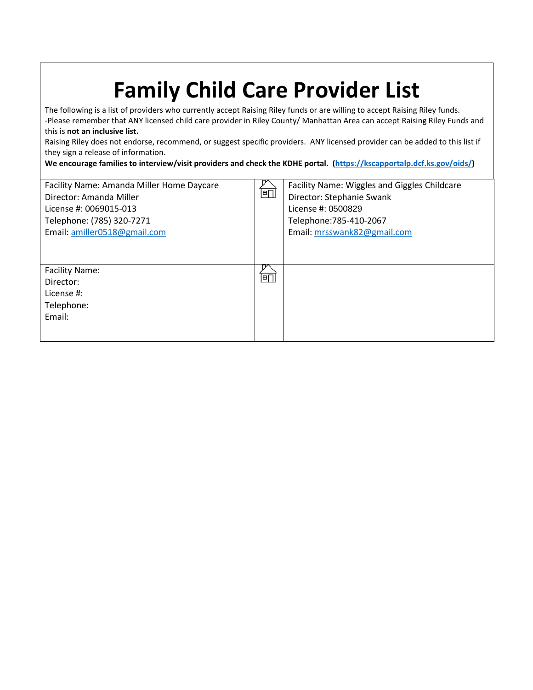| <b>Family Child Care Provider List</b><br>The following is a list of providers who currently accept Raising Riley funds or are willing to accept Raising Riley funds.<br>-Please remember that ANY licensed child care provider in Riley County/ Manhattan Area can accept Raising Riley Funds and<br>this is not an inclusive list.<br>Raising Riley does not endorse, recommend, or suggest specific providers. ANY licensed provider can be added to this list if<br>they sign a release of information.<br>We encourage families to interview/visit providers and check the KDHE portal. (https://kscapportalp.dcf.ks.gov/oids/) |                                |                                                                                                                                                           |  |  |
|--------------------------------------------------------------------------------------------------------------------------------------------------------------------------------------------------------------------------------------------------------------------------------------------------------------------------------------------------------------------------------------------------------------------------------------------------------------------------------------------------------------------------------------------------------------------------------------------------------------------------------------|--------------------------------|-----------------------------------------------------------------------------------------------------------------------------------------------------------|--|--|
| Facility Name: Amanda Miller Home Daycare<br>Director: Amanda Miller<br>License #: 0069015-013<br>Telephone: (785) 320-7271<br>Email: amiller0518@gmail.com                                                                                                                                                                                                                                                                                                                                                                                                                                                                          | $\overline{\mathbb{F}\square}$ | Facility Name: Wiggles and Giggles Childcare<br>Director: Stephanie Swank<br>License #: 0500829<br>Telephone: 785-410-2067<br>Email: mrsswank82@gmail.com |  |  |
| <b>Facility Name:</b><br>Director:<br>License #:<br>Telephone:<br>Email:                                                                                                                                                                                                                                                                                                                                                                                                                                                                                                                                                             | $\blacksquare$                 |                                                                                                                                                           |  |  |